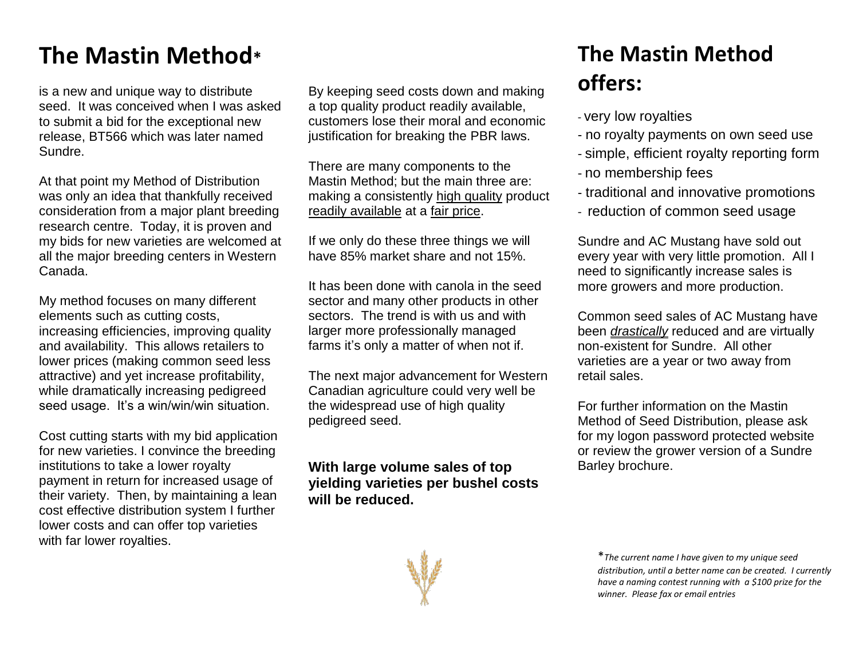## **The Mastin Method\***

is a new and unique way to distribute seed. It was conceived when I was asked to submit a bid for the exceptional new release, BT566 which was later named Sundre.

At that point my Method of Distribution was only an idea that thankfully received consideration from a major plant breeding research centre. Today, it is proven and my bids for new varieties are welcomed at all the major breeding centers in Western Canada.

My method focuses on many different elements such as cutting costs, increasing efficiencies, improving quality and availability. This allows retailers to lower prices (making common seed less attractive) and yet increase profitability, while dramatically increasing pedigreed seed usage. It's a win/win/win situation.

Cost cutting starts with my bid application for new varieties. I convince the breeding institutions to take a lower royalty payment in return for increased usage of their variety. Then, by maintaining a lean cost effective distribution system I further lower costs and can offer top varieties with far lower royalties.

By keeping seed costs down and making a top quality product readily available, customers lose their moral and economic justification for breaking the PBR laws.

There are many components to the Mastin Method; but the main three are: making a consistently high quality product readily available at a fair price.

If we only do these three things we will have 85% market share and not 15%.

It has been done with canola in the seed sector and many other products in other sectors. The trend is with us and with larger more professionally managed farms it's only a matter of when not if.

The next major advancement for Western Canadian agriculture could very well be the widespread use of high quality pedigreed seed.

**With large volume sales of top yielding varieties per bushel costs will be reduced.**



## **The Mastin Method offers:**

- very low royalties
- no royalty payments on own seed use
- simple, efficient royalty reporting form
- no membership fees
- traditional and innovative promotions
- reduction of common seed usage

Sundre and AC Mustang have sold out every year with very little promotion. All I need to significantly increase sales is more growers and more production.

Common seed sales of AC Mustang have been *drastically* reduced and are virtually non-existent for Sundre. All other varieties are a year or two away from retail sales.

For further information on the Mastin Method of Seed Distribution, please ask for my logon password protected website or review the grower version of a Sundre Barley brochure.

<sup>\*</sup>*The current name I have given to my unique seed distribution, until a better name can be created. I currently have a naming contest running with a \$100 prize for the winner. Please fax or email entries*